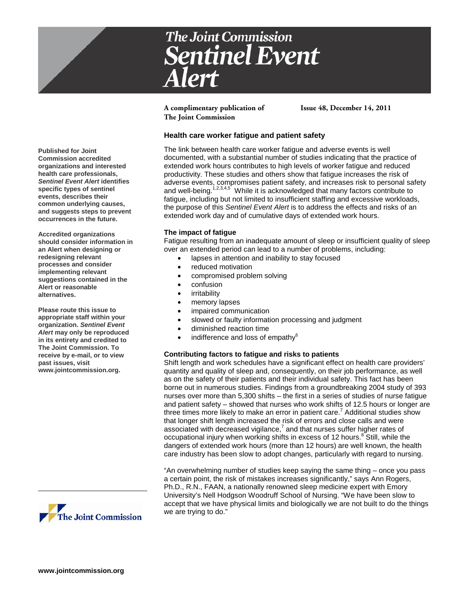

**A complimentary publication of Issue 48, December 14, 2011 The Joint Commission**

# **Health care worker fatigue and patient safety**

The link between health care worker fatigue and adverse events is well documented, with a substantial number of studies indicating that the practice of extended work hours contributes to high levels of worker fatigue and reduced productivity. These studies and others show that fatigue increases the risk of adverse events, compromises patient safety, and increases risk to personal safety and well-being.<sup>1,2,3,4,5</sup> While it is acknowledged that many factors contribute to fatigue, including but not limited to insufficient staffing and excessive workloads, the purpose of this *Sentinel Event Alert* is to address the effects and risks of an extended work day and of cumulative days of extended work hours.

### **The impact of fatigue**

Fatigue resulting from an inadequate amount of sleep or insufficient quality of sleep over an extended period can lead to a number of problems, including:

- lapses in attention and inability to stay focused
- reduced motivation
- compromised problem solving
- confusion
- irritability
- memory lapses
- impaired communication
- slowed or faulty information processing and judgment
- diminished reaction time
- $\bullet$  indifference and loss of empathy $^6$

# **Contributing factors to fatigue and risks to patients**

Shift length and work schedules have a significant effect on health care providers' quantity and quality of sleep and, consequently, on their job performance, as well as on the safety of their patients and their individual safety. This fact has been borne out in numerous studies. Findings from a groundbreaking 2004 study of 393 nurses over more than 5,300 shifts – the first in a series of studies of nurse fatigue and patient safety – showed that nurses who work shifts of 12.5 hours or longer are three times more likely to make an error in patient care.<sup>7</sup> Additional studies show that longer shift length increased the risk of errors and close calls and were  $\frac{1}{2}$  associated with decreased vigilance, $\frac{7}{2}$  and that nurses suffer higher rates of occupational injury when working shifts in excess of 12 hours.<sup>8</sup> Still, while the dangers of extended work hours (more than 12 hours) are well known, the health care industry has been slow to adopt changes, particularly with regard to nursing.

"An overwhelming number of studies keep saying the same thing – once you pass a certain point, the risk of mistakes increases significantly," says Ann Rogers, Ph.D., R.N., FAAN, a nationally renowned sleep medicine expert with Emory University's Nell Hodgson Woodruff School of Nursing. "We have been slow to accept that we have physical limits and biologically we are not built to do the things we are trying to do."

**Published for Joint Commission accredited organizations and interested health care professionals,**  *Sentinel Event Alert* **identifies specific types of sentinel events, describes their common underlying causes, and suggests steps to prevent occurrences in the future.**

**Accredited organizations should consider information in an Alert when designing or redesigning relevant processes and consider implementing relevant suggestions contained in the Alert or reasonable alternatives.** 

**Please route this issue to appropriate staff within your organization.** *Sentinel Event Alert* **may only be reproduced in its entirety and credited to The Joint Commission. To receive by e-mail, or to view past issues, visit www.jointcommission.org.**



\_\_\_\_\_\_\_\_\_\_\_\_\_\_\_\_\_\_\_\_\_\_\_\_\_\_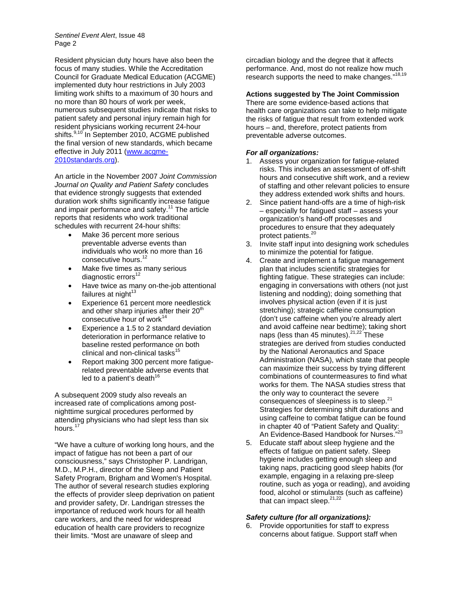*Sentinel Event Alert*, Issue 48 Page 2

Resident physician duty hours have also been the focus of many studies. While the Accreditation Council for Graduate Medical Education (ACGME) implemented duty hour restrictions in July 2003 limiting work shifts to a maximum of 30 hours and no more than 80 hours of work per week, numerous subsequent studies indicate that risks to patient safety and personal injury remain high for resident physicians working recurrent 24-hour shifts.<sup>9,10</sup> In September 2010, ACGME published the final version of new standards, which became effective in July 2011 [\(www.acgme-](http://www.acgme-2010standards.org/)[2010standards.org\)](http://www.acgme-2010standards.org/).

An article in the November 2007 *Joint Commission Journal on Quality and Patient Safety* concludes that evidence strongly suggests that extended duration work shifts significantly increase fatigue and impair performance and safety.<sup>11</sup> The article reports that residents who work traditional schedules with recurrent 24-hour shifts:

- Make 36 percent more serious preventable adverse events than individuals who work no more than 16 consecutive hours.<sup>12</sup>
- Make five times as many serious diagnostic errors<sup>12</sup>
- Have twice as many on-the-job attentional failures at night $13$
- Experience 61 percent more needlestick and other sharp injuries after their  $20<sup>th</sup>$ consecutive hour of work $14$
- Experience a 1.5 to 2 standard deviation deterioration in performance relative to baseline rested performance on both clinical and non-clinical tasks<sup>15</sup>
- Report making 300 percent more fatiguerelated preventable adverse events that led to a patient's death $^{16}$

A subsequent 2009 study also reveals an increased rate of complications among postnighttime surgical procedures performed by attending physicians who had slept less than six hours.<sup>17</sup>

"We have a culture of working long hours, and the impact of fatigue has not been a part of our consciousness," says Christopher P. Landrigan, M.D., M.P.H., director of the Sleep and Patient Safety Program, Brigham and Women's Hospital. The author of several research studies exploring the effects of provider sleep deprivation on patient and provider safety, Dr. Landrigan stresses the importance of reduced work hours for all health care workers, and the need for widespread education of health care providers to recognize their limits. "Most are unaware of sleep and

circadian biology and the degree that it affects performance. And, most do not realize how much research supports the need to make changes."<sup>18,19</sup>

#### **Actions suggested by The Joint Commission**

There are some evidence-based actions that health care organizations can take to help mitigate the risks of fatigue that result from extended work hours – and, therefore, protect patients from preventable adverse outcomes.

#### *For all organizations:*

- 1. Assess your organization for fatigue-related risks. This includes an assessment of off-shift hours and consecutive shift work, and a review of staffing and other relevant policies to ensure they address extended work shifts and hours.
- 2. Since patient hand-offs are a time of high-risk – especially for fatigued staff – assess your organization's hand-off processes and procedures to ensure that they adequately protect patients.<sup>20</sup>
- 3. Invite staff input into designing work schedules to minimize the potential for fatigue.
- 4. Create and implement a fatigue management plan that includes scientific strategies for fighting fatigue. These strategies can include: engaging in conversations with others (not just listening and nodding); doing something that involves physical action (even if it is just stretching); strategic caffeine consumption (don't use caffeine when you're already alert and avoid caffeine near bedtime); taking short naps (less than 45 minutes).<sup>21,22</sup> These strategies are derived from studies conducted by the National Aeronautics and Space Administration (NASA), which state that people can maximize their success by trying different combinations of countermeasures to find what works for them. The NASA studies stress that the only way to counteract the severe consequences of sleepiness is to sleep.<sup>21</sup> Strategies for determining shift durations and using caffeine to combat fatigue can be found in chapter 40 of "Patient Safety and Quality: An Evidence-Based Handbook for Nurses."<sup>23</sup>
- 5. Educate staff about sleep hygiene and the effects of fatigue on patient safety. Sleep hygiene includes getting enough sleep and taking naps, practicing good sleep habits (for example, engaging in a relaxing pre-sleep routine, such as yoga or reading), and avoiding food, alcohol or stimulants (such as caffeine) that can impact sleep. $21,22$

#### *Safety culture (for all organizations):*

6. Provide opportunities for staff to express concerns about fatigue. Support staff when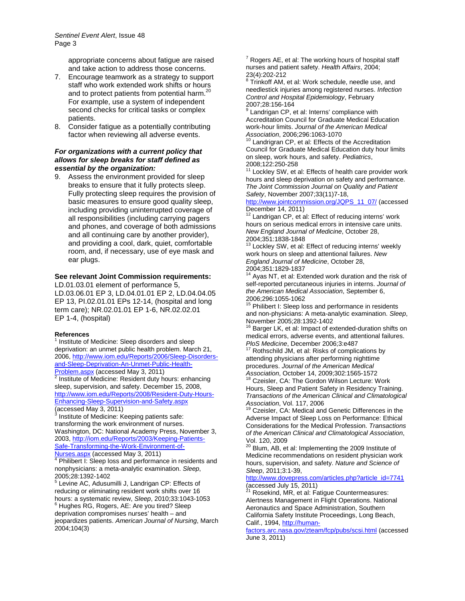appropriate concerns about fatigue are raised and take action to address those concerns.

- 7. Encourage teamwork as a strategy to support staff who work extended work shifts or hours and to protect patients from potential harm.<sup>20</sup> For example, use a system of independent second checks for critical tasks or complex patients.
- 8. Consider fatigue as a potentially contributing factor when reviewing all adverse events.

## *For organizations with a current policy that allows for sleep breaks for staff defined as essential by the organization:*

9. Assess the environment provided for sleep breaks to ensure that it fully protects sleep. Fully protecting sleep requires the provision of basic measures to ensure good quality sleep, including providing uninterrupted coverage of all responsibilities (including carrying pagers and phones, and coverage of both admissions and all continuing care by another provider), and providing a cool, dark, quiet, comfortable room, and, if necessary, use of eye mask and ear plugs.

# **See relevant Joint Commission requirements:**

LD.01.03.01 element of performance 5, LD.03.06.01 EP 3, LD.04.01.01 EP 2, LD.04.04.05 EP 13, PI.02.01.01 EPs 12-14, (hospital and long term care); NR.02.01.01 EP 1-6, NR.02.02.01 EP 1-4, (hospital)

#### **References**

 $1$  Institute of Medicine: Sleep disorders and sleep deprivation: an unmet public health problem. March 21, 2006[, http://www.iom.edu/Reports/2006/Sleep-Disorders](http://www.iom.edu/Reports/2006/Sleep-Disorders-and-Sleep-Deprivation-An-Unmet-Public-Health-Problem.aspx)[and-Sleep-Deprivation-An-Unmet-Public-Health-](http://www.iom.edu/Reports/2006/Sleep-Disorders-and-Sleep-Deprivation-An-Unmet-Public-Health-Problem.aspx)

 $Problem_agspx$  (accessed May 3, 2011)<br><sup>2</sup> Institute of Medicine: Resident duty hours: enhancing sleep, supervision, and safety. December 15, 2008, [http://www.iom.edu/Reports/2008/Resident-Duty-Hours-](http://www.iom.edu/Reports/2008/Resident-Duty-Hours-Enhancing-Sleep-Supervision-and-Safety.aspx)[Enhancing-Sleep-Supervision-and-Safety.aspx](http://www.iom.edu/Reports/2008/Resident-Duty-Hours-Enhancing-Sleep-Supervision-and-Safety.aspx) (accessed May 3, 2011)

Institute of Medicine: Keeping patients safe: transforming the work environment of nurses. Washington, DC: National Academy Press, November 3, 2003[, http://iom.edu/Reports/2003/Keeping-Patients-](http://iom.edu/Reports/2003/Keeping-Patients-Safe-Transforming-the-Work-Environment-of-Nurses.aspx)[Safe-Transforming-the-Work-Environment-of-](http://iom.edu/Reports/2003/Keeping-Patients-Safe-Transforming-the-Work-Environment-of-Nurses.aspx)

[Nurses.aspx](http://iom.edu/Reports/2003/Keeping-Patients-Safe-Transforming-the-Work-Environment-of-Nurses.aspx) (accessed May 3, 2011) <sup>4</sup> Philibert I: Sleep loss and performance in residents and nonphysicians: a meta-analytic examination. *Sleep*,

2005;28:1392-1402<br>
<sup>5</sup> Levine AC, Adusumilli J, Landrigan CP: Effects of reducing or eliminating resident work shifts over 16 hours: a systematic review, *Sleep*, 2010;33:1043-1053<br><sup>6</sup> Hughes RG, Rogers, AE: Are you tired? Sleep deprivation compromises nurses' health – and jeopardizes patients. *American Journal of Nursing*, March 2004;104(3)

 $7$  Rogers AE, et al: The working hours of hospital staff nurses and patient safety. *Health Affairs*, 2004;

 $28$ Trinkoff AM, et al: Work schedule, needle use, and needlestick injuries among registered nurses. *Infection Control and Hospital Epidemiology*, February

 $9$  Landrigan CP, et al: Interns' compliance with Accreditation Council for Graduate Medical Education work-hour limits. *Journal of the American Medical* 

<sup>10</sup> Landrigran CP, et al: Effects of the Accreditation Council for Graduate Medical Education duty hour limits on sleep, work hours, and safety. *Pediatrics*,

2008;122:250-258<br><sup>11</sup> Lockley SW, et al: Effects of health care provider work hours and sleep deprivation on safety and performance. *The Joint Commission Journal on Quality and Patient Safety*, November 2007;33(11)7-18,

[http://www.jointcommission.org/JQPS\\_11\\_07/](http://www.jointcommission.org/JQPS_11_07/) (accessed<br>December 14, 2011)

Landrigan CP, et al: Effect of reducing interns' work hours on serious medical errors in intensive care units. *New England Journal of Medicine*, October 28,

 $13$  Lockley SW, et al: Effect of reducing interns' weekly work hours on sleep and attentional failures. *New England Journal of Medicine*, October 28,

 $\frac{14}{14}$  Ayas NT, et al: Extended work duration and the risk of self-reported percutaneous injuries in interns. *Journal of the American Medical Association*, September 6,

2006;296:1055-1062<br><sup>15</sup> Philibert I: Sleep loss and performance in residents and non-physicians: A meta-analytic examination. *Sleep*,

 $16$  Barger LK, et al: Impact of extended-duration shifts on medical errors, adverse events, and attentional failures. *PloS Medicine*, December 2006;3:e487<br><sup>17</sup> Rothschild JM, et al: Risks of complications by

attending physicians after performing nighttime procedures. *Journal of the American Medical* 

*Association*, October 14, 2009;302:1565-1572<br><sup>18</sup> Czeisler, CA: The Gordon Wilson Lecture: Work Hours, Sleep and Patient Safety in Residency Training. *Transactions of the American Clinical and Climatological Association, Vol. 117, 2006*<br><sup>19</sup> Czejska: CA: M. K.

Czeisler, CA: Medical and Genetic Differences in the Adverse Impact of Sleep Loss on Performance: Ethical Considerations for the Medical Profession. *Transactions of the American Clinical and Climatological Association*, Vol. 120, 2009

<sup>20</sup> Blum, AB, et al: Implementing the 2009 Institute of Medicine recommendations on resident physician work hours, supervision, and safety. *Nature and Science of Sleep*, 2011;3:1-39,

[http://www.dovepress.com/articles.php?article\\_id=7741](http://www.dovepress.com/articles.php?article_id=7741) (accessed July 15, 2011)<br><sup>21</sup> Resolute 1.15

Rosekind, MR, et al: Fatigue Countermeasures: Alertness Management in Flight Operations. National Aeronautics and Space Administration, Southern California Safety Institute Proceedings, Long Beach, Calif., 1994[, http://human-](http://human-factors.arc.nasa.gov/zteam/fcp/pubs/scsi.html)

[factors.arc.nasa.gov/zteam/fcp/pubs/scsi.html](http://human-factors.arc.nasa.gov/zteam/fcp/pubs/scsi.html) (accessed June 3, 2011)